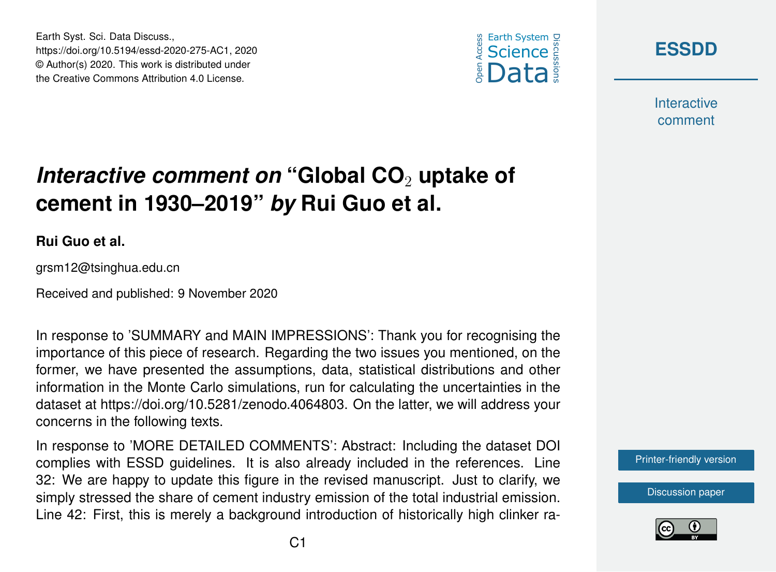





**Interactive** comment

# *Interactive comment on* "Global CO<sub>2</sub> uptake of **cement in 1930–2019"** *by* **Rui Guo et al.**

#### **Rui Guo et al.**

grsm12@tsinghua.edu.cn

Received and published: 9 November 2020

In response to 'SUMMARY and MAIN IMPRESSIONS': Thank you for recognising the importance of this piece of research. Regarding the two issues you mentioned, on the former, we have presented the assumptions, data, statistical distributions and other information in the Monte Carlo simulations, run for calculating the uncertainties in the dataset at https://doi.org/10.5281/zenodo.4064803. On the latter, we will address your concerns in the following texts.

In response to 'MORE DETAILED COMMENTS': Abstract: Including the dataset DOI complies with ESSD guidelines. It is also already included in the references. Line 32: We are happy to update this figure in the revised manuscript. Just to clarify, we simply stressed the share of cement industry emission of the total industrial emission. Line 42: First, this is merely a background introduction of historically high clinker ra-

[Printer-friendly version](https://essd.copernicus.org/preprints/essd-2020-275/essd-2020-275-AC1-print.pdf)

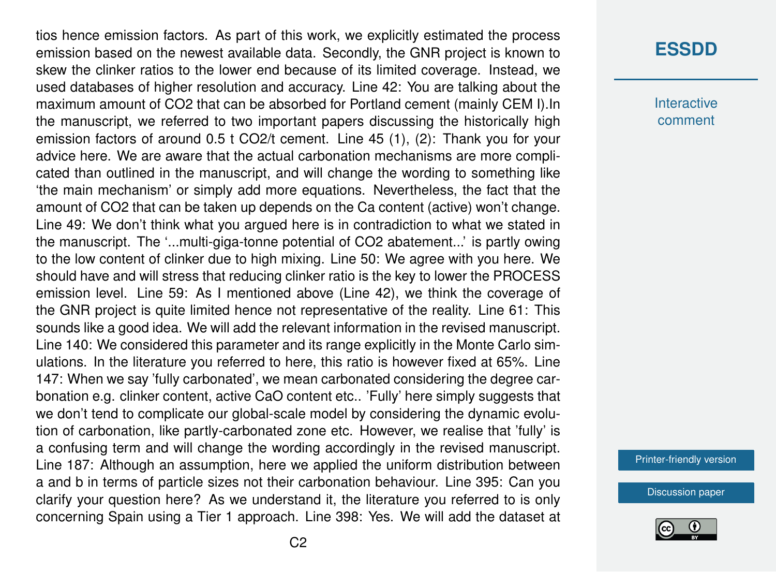tios hence emission factors. As part of this work, we explicitly estimated the process emission based on the newest available data. Secondly, the GNR project is known to skew the clinker ratios to the lower end because of its limited coverage. Instead, we used databases of higher resolution and accuracy. Line 42: You are talking about the maximum amount of CO2 that can be absorbed for Portland cement (mainly CEM I).In the manuscript, we referred to two important papers discussing the historically high emission factors of around 0.5 t CO2/t cement. Line 45 (1), (2): Thank you for your advice here. We are aware that the actual carbonation mechanisms are more complicated than outlined in the manuscript, and will change the wording to something like 'the main mechanism' or simply add more equations. Nevertheless, the fact that the amount of CO2 that can be taken up depends on the Ca content (active) won't change. Line 49: We don't think what you argued here is in contradiction to what we stated in the manuscript. The '...multi-giga-tonne potential of CO2 abatement...' is partly owing to the low content of clinker due to high mixing. Line 50: We agree with you here. We should have and will stress that reducing clinker ratio is the key to lower the PROCESS emission level. Line 59: As I mentioned above (Line 42), we think the coverage of the GNR project is quite limited hence not representative of the reality. Line 61: This sounds like a good idea. We will add the relevant information in the revised manuscript. Line 140: We considered this parameter and its range explicitly in the Monte Carlo simulations. In the literature you referred to here, this ratio is however fixed at 65%. Line 147: When we say 'fully carbonated', we mean carbonated considering the degree carbonation e.g. clinker content, active CaO content etc.. 'Fully' here simply suggests that we don't tend to complicate our global-scale model by considering the dynamic evolution of carbonation, like partly-carbonated zone etc. However, we realise that 'fully' is a confusing term and will change the wording accordingly in the revised manuscript. Line 187: Although an assumption, here we applied the uniform distribution between a and b in terms of particle sizes not their carbonation behaviour. Line 395: Can you clarify your question here? As we understand it, the literature you referred to is only concerning Spain using a Tier 1 approach. Line 398: Yes. We will add the dataset at

### **[ESSDD](https://essd.copernicus.org/preprints/)**

**Interactive** comment

[Printer-friendly version](https://essd.copernicus.org/preprints/essd-2020-275/essd-2020-275-AC1-print.pdf)

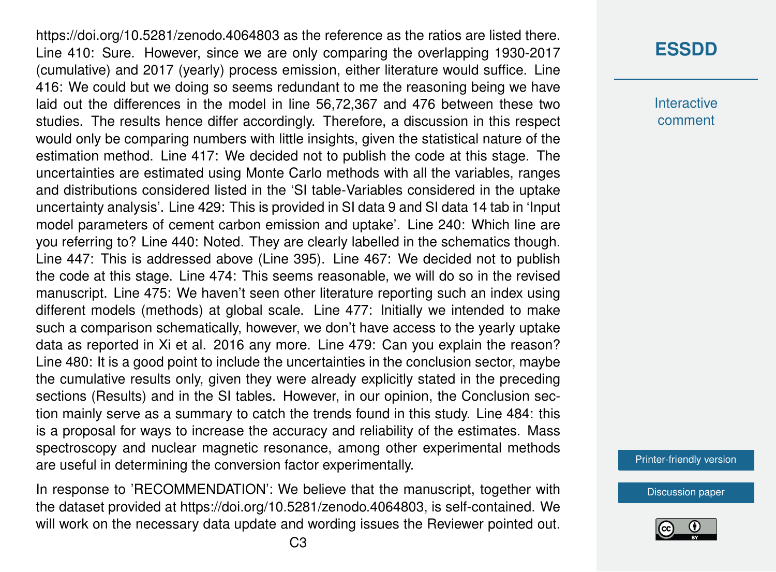https://doi.org/10.5281/zenodo.4064803 as the reference as the ratios are listed there. Line 410: Sure. However, since we are only comparing the overlapping 1930-2017 (cumulative) and 2017 (yearly) process emission, either literature would suffice. Line 416: We could but we doing so seems redundant to me the reasoning being we have laid out the differences in the model in line 56,72,367 and 476 between these two studies. The results hence differ accordingly. Therefore, a discussion in this respect would only be comparing numbers with little insights, given the statistical nature of the estimation method. Line 417: We decided not to publish the code at this stage. The uncertainties are estimated using Monte Carlo methods with all the variables, ranges and distributions considered listed in the 'SI table-Variables considered in the uptake uncertainty analysis'. Line 429: This is provided in SI data 9 and SI data 14 tab in 'Input model parameters of cement carbon emission and uptake'. Line 240: Which line are you referring to? Line 440: Noted. They are clearly labelled in the schematics though. Line 447: This is addressed above (Line 395). Line 467: We decided not to publish the code at this stage. Line 474: This seems reasonable, we will do so in the revised manuscript. Line 475: We haven't seen other literature reporting such an index using different models (methods) at global scale. Line 477: Initially we intended to make such a comparison schematically, however, we don't have access to the yearly uptake data as reported in Xi et al. 2016 any more. Line 479: Can you explain the reason? Line 480: It is a good point to include the uncertainties in the conclusion sector, maybe the cumulative results only, given they were already explicitly stated in the preceding sections (Results) and in the SI tables. However, in our opinion, the Conclusion section mainly serve as a summary to catch the trends found in this study. Line 484: this is a proposal for ways to increase the accuracy and reliability of the estimates. Mass spectroscopy and nuclear magnetic resonance, among other experimental methods are useful in determining the conversion factor experimentally.

In response to 'RECOMMENDATION': We believe that the manuscript, together with the dataset provided at https://doi.org/10.5281/zenodo.4064803, is self-contained. We will work on the necessary data update and wording issues the Reviewer pointed out.

# **[ESSDD](https://essd.copernicus.org/preprints/)**

**Interactive** comment

[Printer-friendly version](https://essd.copernicus.org/preprints/essd-2020-275/essd-2020-275-AC1-print.pdf)